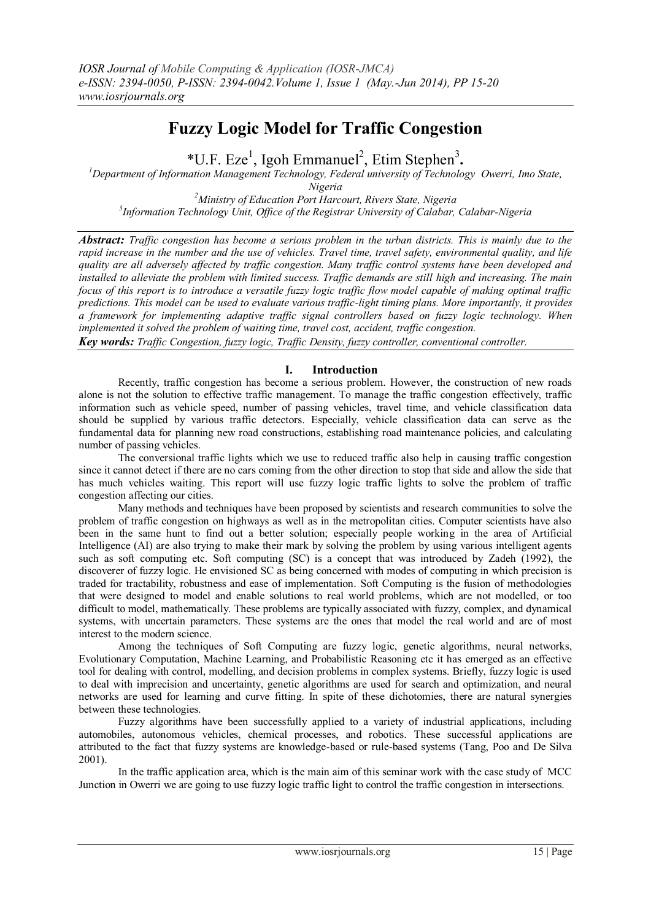# **Fuzzy Logic Model for Traffic Congestion**

\*U.F. Eze<sup>1</sup>, Igoh Emmanuel<sup>2</sup>, Etim Stephen<sup>3</sup>.

*<sup>1</sup>Department of Information Management Technology, Federal university of Technology Owerri, Imo State, Nigeria*

*<sup>2</sup>Ministry of Education Port Harcourt, Rivers State, Nigeria 3 Information Technology Unit, Office of the Registrar University of Calabar, Calabar-Nigeria*

*Abstract: Traffic congestion has become a serious problem in the urban districts. This is mainly due to the rapid increase in the number and the use of vehicles. Travel time, travel safety, environmental quality, and life quality are all adversely affected by traffic congestion. Many traffic control systems have been developed and installed to alleviate the problem with limited success. Traffic demands are still high and increasing. The main focus of this report is to introduce a versatile fuzzy logic traffic flow model capable of making optimal traffic predictions. This model can be used to evaluate various traffic-light timing plans. More importantly, it provides a framework for implementing adaptive traffic signal controllers based on fuzzy logic technology. When implemented it solved the problem of waiting time, travel cost, accident, traffic congestion.* 

*Key words: Traffic Congestion, fuzzy logic, Traffic Density, fuzzy controller, conventional controller.*

# **I. Introduction**

Recently, traffic congestion has become a serious problem. However, the construction of new roads alone is not the solution to effective traffic management. To manage the traffic congestion effectively, traffic information such as vehicle speed, number of passing vehicles, travel time, and vehicle classification data should be supplied by various traffic detectors. Especially, vehicle classification data can serve as the fundamental data for planning new road constructions, establishing road maintenance policies, and calculating number of passing vehicles.

The conversional traffic lights which we use to reduced traffic also help in causing traffic congestion since it cannot detect if there are no cars coming from the other direction to stop that side and allow the side that has much vehicles waiting. This report will use fuzzy logic traffic lights to solve the problem of traffic congestion affecting our cities.

Many methods and techniques have been proposed by scientists and research communities to solve the problem of traffic congestion on highways as well as in the metropolitan cities. Computer scientists have also been in the same hunt to find out a better solution; especially people working in the area of Artificial Intelligence (AI) are also trying to make their mark by solving the problem by using various intelligent agents such as soft computing etc. Soft computing (SC) is a concept that was introduced by Zadeh (1992), the discoverer of fuzzy logic. He envisioned SC as being concerned with modes of computing in which precision is traded for tractability, robustness and ease of implementation. Soft Computing is the fusion of methodologies that were designed to model and enable solutions to real world problems, which are not modelled, or too difficult to model, mathematically. These problems are typically associated with fuzzy, complex, and dynamical systems, with uncertain parameters. These systems are the ones that model the real world and are of most interest to the modern science.

Among the techniques of Soft Computing are fuzzy logic, genetic algorithms, neural networks, Evolutionary Computation, Machine Learning, and Probabilistic Reasoning etc it has emerged as an effective tool for dealing with control, modelling, and decision problems in complex systems. Briefly, fuzzy logic is used to deal with imprecision and uncertainty, genetic algorithms are used for search and optimization, and neural networks are used for learning and curve fitting. In spite of these dichotomies, there are natural synergies between these technologies.

Fuzzy algorithms have been successfully applied to a variety of industrial applications, including automobiles, autonomous vehicles, chemical processes, and robotics. These successful applications are attributed to the fact that fuzzy systems are knowledge-based or rule-based systems (Tang, Poo and De Silva 2001).

In the traffic application area, which is the main aim of this seminar work with the case study of MCC Junction in Owerri we are going to use fuzzy logic traffic light to control the traffic congestion in intersections.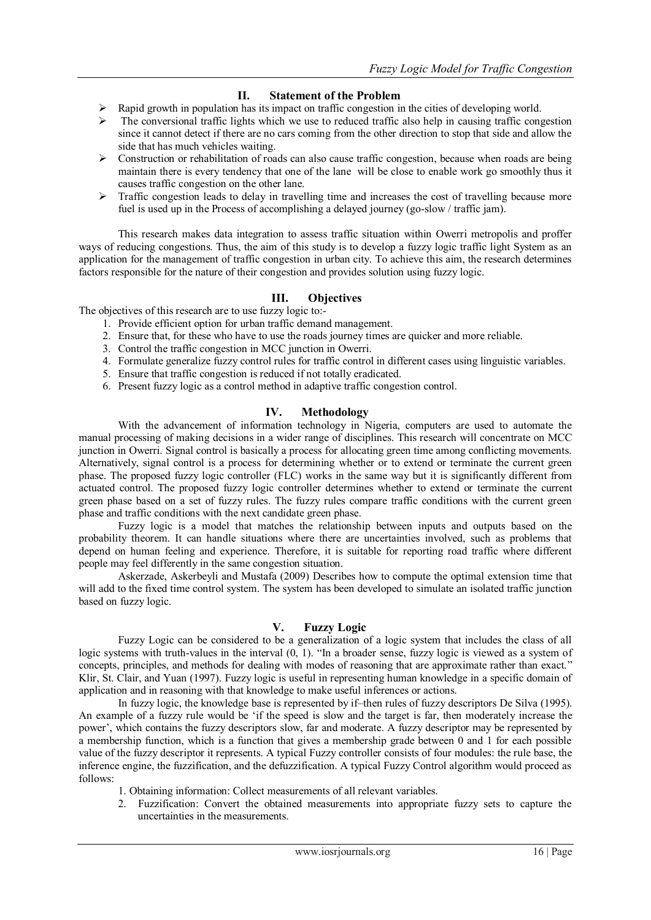# **II. Statement of the Problem**

- Rapid growth in population has its impact on traffic congestion in the cities of developing world.
- The conversional traffic lights which we use to reduced traffic also help in causing traffic congestion since it cannot detect if there are no cars coming from the other direction to stop that side and allow the side that has much vehicles waiting.
- Construction or rehabilitation of roads can also cause traffic congestion, because when roads are being maintain there is every tendency that one of the lane will be close to enable work go smoothly thus it causes traffic congestion on the other lane.
- $\triangleright$  Traffic congestion leads to delay in travelling time and increases the cost of travelling because more fuel is used up in the Process of accomplishing a delayed journey (go-slow / traffic jam).

This research makes data integration to assess traffic situation within Owerri metropolis and proffer ways of reducing congestions. Thus, the aim of this study is to develop a fuzzy logic traffic light System as an application for the management of traffic congestion in urban city. To achieve this aim, the research determines factors responsible for the nature of their congestion and provides solution using fuzzy logic.

# **III. Objectives**

The objectives of this research are to use fuzzy logic to:-

- 1. Provide efficient option for urban traffic demand management.
- 2. Ensure that, for these who have to use the roads journey times are quicker and more reliable.
- 3. Control the traffic congestion in MCC junction in Owerri.
- 4. Formulate generalize fuzzy control rules for traffic control in different cases using linguistic variables.
- 5. Ensure that traffic congestion is reduced if not totally eradicated.
- 6. Present fuzzy logic as a control method in adaptive traffic congestion control.

# **IV. Methodology**

With the advancement of information technology in Nigeria, computers are used to automate the manual processing of making decisions in a wider range of disciplines. This research will concentrate on MCC junction in Owerri. Signal control is basically a process for allocating green time among conflicting movements. Alternatively, signal control is a process for determining whether or to extend or terminate the current green phase. The proposed fuzzy logic controller (FLC) works in the same way but it is significantly different from actuated control. The proposed fuzzy logic controller determines whether to extend or terminate the current green phase based on a set of fuzzy rules. The fuzzy rules compare traffic conditions with the current green phase and traffic conditions with the next candidate green phase.

Fuzzy logic is a model that matches the relationship between inputs and outputs based on the probability theorem. It can handle situations where there are uncertainties involved, such as problems that depend on human feeling and experience. Therefore, it is suitable for reporting road traffic where different people may feel differently in the same congestion situation.

Askerzade, Askerbeyli and Mustafa (2009) Describes how to compute the optimal extension time that will add to the fixed time control system. The system has been developed to simulate an isolated traffic junction based on fuzzy logic.

# **V. Fuzzy Logic**

Fuzzy Logic can be considered to be a generalization of a logic system that includes the class of all logic systems with truth-values in the interval (0, 1). "In a broader sense, fuzzy logic is viewed as a system of concepts, principles, and methods for dealing with modes of reasoning that are approximate rather than exact." Klir, St. Clair, and Yuan (1997). Fuzzy logic is useful in representing human knowledge in a specific domain of application and in reasoning with that knowledge to make useful inferences or actions.

In fuzzy logic, the knowledge base is represented by if–then rules of fuzzy descriptors De Silva (1995). An example of a fuzzy rule would be "if the speed is slow and the target is far, then moderately increase the power", which contains the fuzzy descriptors slow, far and moderate. A fuzzy descriptor may be represented by a membership function, which is a function that gives a membership grade between 0 and 1 for each possible value of the fuzzy descriptor it represents. A typical Fuzzy controller consists of four modules: the rule base, the inference engine, the fuzzification, and the defuzzification. A typical Fuzzy Control algorithm would proceed as follows:

- 1. Obtaining information: Collect measurements of all relevant variables.
- 2. Fuzzification: Convert the obtained measurements into appropriate fuzzy sets to capture the uncertainties in the measurements.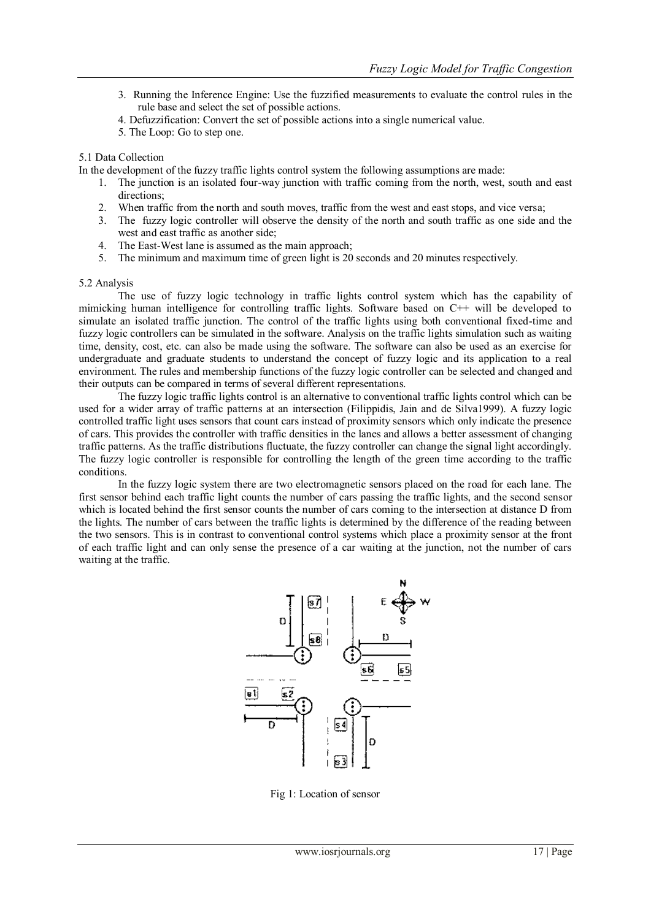- 3. Running the Inference Engine: Use the fuzzified measurements to evaluate the control rules in the rule base and select the set of possible actions.
- 4. Defuzzification: Convert the set of possible actions into a single numerical value.
- 5. The Loop: Go to step one.

## 5.1 Data Collection

In the development of the fuzzy traffic lights control system the following assumptions are made:

- 1. The junction is an isolated four-way junction with traffic coming from the north, west, south and east directions;
- 2. When traffic from the north and south moves, traffic from the west and east stops, and vice versa;
- 3. The fuzzy logic controller will observe the density of the north and south traffic as one side and the west and east traffic as another side;
- 4. The East-West lane is assumed as the main approach;
- 5. The minimum and maximum time of green light is 20 seconds and 20 minutes respectively.

#### 5.2 Analysis

The use of fuzzy logic technology in traffic lights control system which has the capability of mimicking human intelligence for controlling traffic lights. Software based on C++ will be developed to simulate an isolated traffic junction. The control of the traffic lights using both conventional fixed-time and fuzzy logic controllers can be simulated in the software. Analysis on the traffic lights simulation such as waiting time, density, cost, etc. can also be made using the software. The software can also be used as an exercise for undergraduate and graduate students to understand the concept of fuzzy logic and its application to a real environment. The rules and membership functions of the fuzzy logic controller can be selected and changed and their outputs can be compared in terms of several different representations.

The fuzzy logic traffic lights control is an alternative to conventional traffic lights control which can be used for a wider array of traffic patterns at an intersection (Filippidis, Jain and de Silva1999). A fuzzy logic controlled traffic light uses sensors that count cars instead of proximity sensors which only indicate the presence of cars. This provides the controller with traffic densities in the lanes and allows a better assessment of changing traffic patterns. As the traffic distributions fluctuate, the fuzzy controller can change the signal light accordingly. The fuzzy logic controller is responsible for controlling the length of the green time according to the traffic conditions.

In the fuzzy logic system there are two electromagnetic sensors placed on the road for each lane. The first sensor behind each traffic light counts the number of cars passing the traffic lights, and the second sensor which is located behind the first sensor counts the number of cars coming to the intersection at distance D from the lights. The number of cars between the traffic lights is determined by the difference of the reading between the two sensors. This is in contrast to conventional control systems which place a proximity sensor at the front of each traffic light and can only sense the presence of a car waiting at the junction, not the number of cars waiting at the traffic.



Fig 1: Location of sensor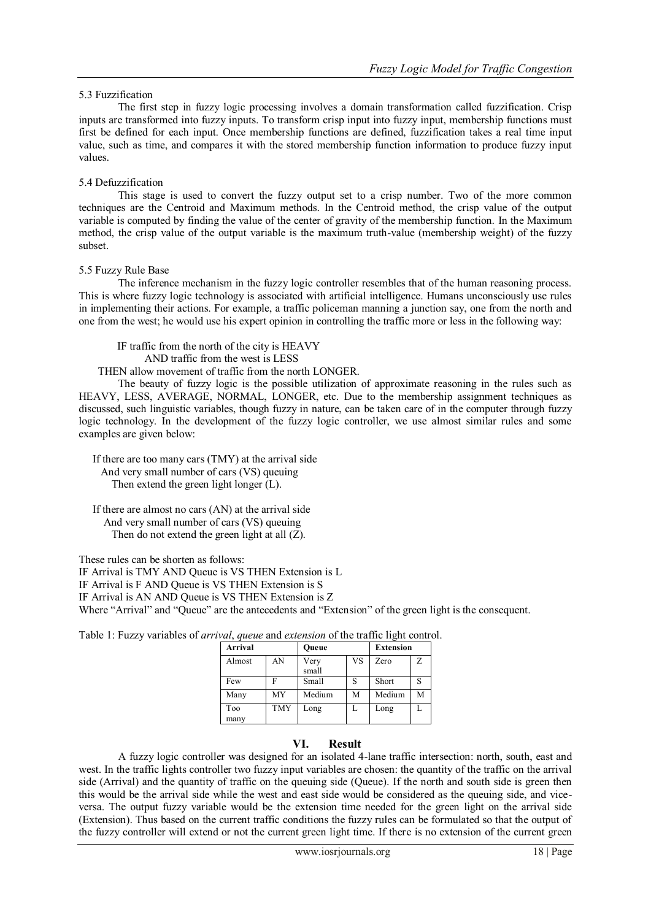## 5.3 Fuzzification

The first step in fuzzy logic processing involves a domain transformation called fuzzification. Crisp inputs are transformed into fuzzy inputs. To transform crisp input into fuzzy input, membership functions must first be defined for each input. Once membership functions are defined, fuzzification takes a real time input value, such as time, and compares it with the stored membership function information to produce fuzzy input values.

## 5.4 Defuzzification

This stage is used to convert the fuzzy output set to a crisp number. Two of the more common techniques are the Centroid and Maximum methods. In the Centroid method, the crisp value of the output variable is computed by finding the value of the center of gravity of the membership function. In the Maximum method, the crisp value of the output variable is the maximum truth-value (membership weight) of the fuzzy subset.

## 5.5 Fuzzy Rule Base

The inference mechanism in the fuzzy logic controller resembles that of the human reasoning process. This is where fuzzy logic technology is associated with artificial intelligence. Humans unconsciously use rules in implementing their actions. For example, a traffic policeman manning a junction say, one from the north and one from the west; he would use his expert opinion in controlling the traffic more or less in the following way:

 IF traffic from the north of the city is HEAVY AND traffic from the west is LESS

THEN allow movement of traffic from the north LONGER.

The beauty of fuzzy logic is the possible utilization of approximate reasoning in the rules such as HEAVY, LESS, AVERAGE, NORMAL, LONGER, etc. Due to the membership assignment techniques as discussed, such linguistic variables, though fuzzy in nature, can be taken care of in the computer through fuzzy logic technology. In the development of the fuzzy logic controller, we use almost similar rules and some examples are given below:

 If there are too many cars (TMY) at the arrival side And very small number of cars (VS) queuing Then extend the green light longer (L).

 If there are almost no cars (AN) at the arrival side And very small number of cars (VS) queuing Then do not extend the green light at all (Z).

These rules can be shorten as follows:

IF Arrival is TMY AND Queue is VS THEN Extension is L

IF Arrival is F AND Queue is VS THEN Extension is S

IF Arrival is AN AND Queue is VS THEN Extension is Z

Where "Arrival" and "Queue" are the antecedents and "Extension" of the green light is the consequent.

Table 1: Fuzzy variables of *arrival*, *queue* and *extension* of the traffic light control.

| Arrival |            | Oueue  |    | <b>Extension</b> |   |
|---------|------------|--------|----|------------------|---|
| Almost  | AN         | Very   | VS | Zero             | Z |
|         |            | small  |    |                  |   |
| Few     |            | Small  | S  | Short            |   |
| Many    | MY         | Medium | M  | Medium           | М |
| Too     | <b>TMY</b> | Long   |    | Long             |   |
| many    |            |        |    |                  |   |

# **VI. Result**

A fuzzy logic controller was designed for an isolated 4-lane traffic intersection: north, south, east and west. In the traffic lights controller two fuzzy input variables are chosen: the quantity of the traffic on the arrival side (Arrival) and the quantity of traffic on the queuing side (Queue). If the north and south side is green then this would be the arrival side while the west and east side would be considered as the queuing side, and viceversa. The output fuzzy variable would be the extension time needed for the green light on the arrival side (Extension). Thus based on the current traffic conditions the fuzzy rules can be formulated so that the output of the fuzzy controller will extend or not the current green light time. If there is no extension of the current green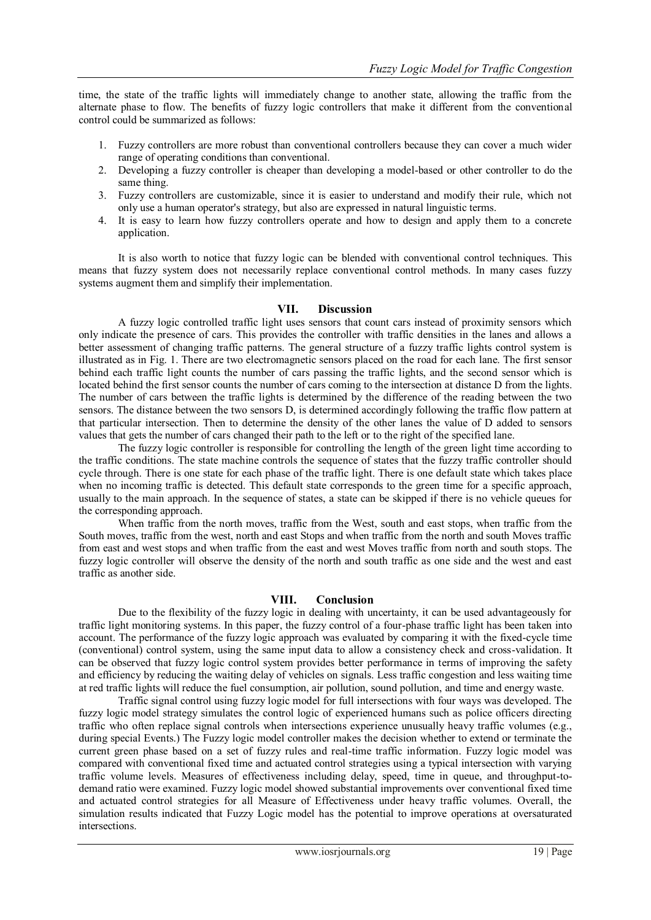time, the state of the traffic lights will immediately change to another state, allowing the traffic from the alternate phase to flow. The benefits of fuzzy logic controllers that make it different from the conventional control could be summarized as follows:

- 1. Fuzzy controllers are more robust than conventional controllers because they can cover a much wider range of operating conditions than conventional.
- 2. Developing a fuzzy controller is cheaper than developing a model-based or other controller to do the same thing.
- 3. Fuzzy controllers are customizable, since it is easier to understand and modify their rule, which not only use a human operator's strategy, but also are expressed in natural linguistic terms.
- 4. It is easy to learn how fuzzy controllers operate and how to design and apply them to a concrete application.

It is also worth to notice that fuzzy logic can be blended with conventional control techniques. This means that fuzzy system does not necessarily replace conventional control methods. In many cases fuzzy systems augment them and simplify their implementation.

#### **VII. Discussion**

A fuzzy logic controlled traffic light uses sensors that count cars instead of proximity sensors which only indicate the presence of cars. This provides the controller with traffic densities in the lanes and allows a better assessment of changing traffic patterns. The general structure of a fuzzy traffic lights control system is illustrated as in Fig. 1. There are two electromagnetic sensors placed on the road for each lane. The first sensor behind each traffic light counts the number of cars passing the traffic lights, and the second sensor which is located behind the first sensor counts the number of cars coming to the intersection at distance D from the lights. The number of cars between the traffic lights is determined by the difference of the reading between the two sensors. The distance between the two sensors D, is determined accordingly following the traffic flow pattern at that particular intersection. Then to determine the density of the other lanes the value of D added to sensors values that gets the number of cars changed their path to the left or to the right of the specified lane.

The fuzzy logic controller is responsible for controlling the length of the green light time according to the traffic conditions. The state machine controls the sequence of states that the fuzzy traffic controller should cycle through. There is one state for each phase of the traffic light. There is one default state which takes place when no incoming traffic is detected. This default state corresponds to the green time for a specific approach, usually to the main approach. In the sequence of states, a state can be skipped if there is no vehicle queues for the corresponding approach.

When traffic from the north moves, traffic from the West, south and east stops, when traffic from the South moves, traffic from the west, north and east Stops and when traffic from the north and south Moves traffic from east and west stops and when traffic from the east and west Moves traffic from north and south stops. The fuzzy logic controller will observe the density of the north and south traffic as one side and the west and east traffic as another side.

#### **VIII. Conclusion**

Due to the flexibility of the fuzzy logic in dealing with uncertainty, it can be used advantageously for traffic light monitoring systems. In this paper, the fuzzy control of a four-phase traffic light has been taken into account. The performance of the fuzzy logic approach was evaluated by comparing it with the fixed-cycle time (conventional) control system, using the same input data to allow a consistency check and cross-validation. It can be observed that fuzzy logic control system provides better performance in terms of improving the safety and efficiency by reducing the waiting delay of vehicles on signals. Less traffic congestion and less waiting time at red traffic lights will reduce the fuel consumption, air pollution, sound pollution, and time and energy waste.

Traffic signal control using fuzzy logic model for full intersections with four ways was developed. The fuzzy logic model strategy simulates the control logic of experienced humans such as police officers directing traffic who often replace signal controls when intersections experience unusually heavy traffic volumes (e.g., during special Events.) The Fuzzy logic model controller makes the decision whether to extend or terminate the current green phase based on a set of fuzzy rules and real-time traffic information. Fuzzy logic model was compared with conventional fixed time and actuated control strategies using a typical intersection with varying traffic volume levels. Measures of effectiveness including delay, speed, time in queue, and throughput-todemand ratio were examined. Fuzzy logic model showed substantial improvements over conventional fixed time and actuated control strategies for all Measure of Effectiveness under heavy traffic volumes. Overall, the simulation results indicated that Fuzzy Logic model has the potential to improve operations at oversaturated intersections.